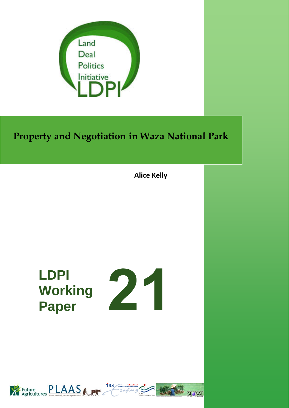

# **Property and Negotiation in Waza National Park**

**Alice Kelly**

# **LDPI Working Paper**





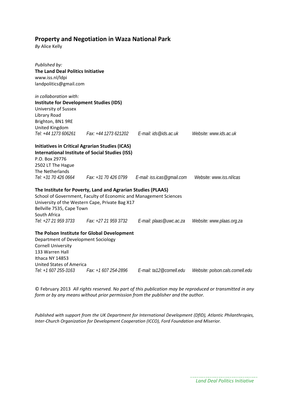#### **Property and Negotiation in Waza National Park**

*By* Alice Kelly

| Published by:                                  |                                                                   |                                                                      |                                  |
|------------------------------------------------|-------------------------------------------------------------------|----------------------------------------------------------------------|----------------------------------|
| <b>The Land Deal Politics Initiative</b>       |                                                                   |                                                                      |                                  |
| www.iss.nl/ldpi                                |                                                                   |                                                                      |                                  |
| landpolitics@gmail.com                         |                                                                   |                                                                      |                                  |
|                                                |                                                                   |                                                                      |                                  |
| in collaboration with:                         |                                                                   |                                                                      |                                  |
| <b>Institute for Development Studies (IDS)</b> |                                                                   |                                                                      |                                  |
| University of Sussex                           |                                                                   |                                                                      |                                  |
| Library Road                                   |                                                                   |                                                                      |                                  |
| Brighton, BN1 9RE                              |                                                                   |                                                                      |                                  |
| United Kingdom                                 |                                                                   |                                                                      |                                  |
| Tel: +44 1273 606261                           |                                                                   | Fax: +44 1273 621202   E-mail: ids@ids.ac.uk                         | Website: www.ids.ac.uk           |
|                                                |                                                                   |                                                                      |                                  |
|                                                | <b>Initiatives in Critical Agrarian Studies (ICAS)</b>            |                                                                      |                                  |
|                                                | <b>International Institute of Social Studies (ISS)</b>            |                                                                      |                                  |
| P.O. Box 29776                                 |                                                                   |                                                                      |                                  |
| 2502 LT The Hague                              |                                                                   |                                                                      |                                  |
| The Netherlands                                |                                                                   |                                                                      |                                  |
|                                                |                                                                   | Tel: +31 70 426 0664 Fax: +31 70 426 0799 E-mail: iss.icas@gmail.com | Website: www.iss.nl/icas         |
|                                                |                                                                   |                                                                      |                                  |
|                                                | The Institute for Poverty, Land and Agrarian Studies (PLAAS)      |                                                                      |                                  |
|                                                | School of Government, Faculty of Economic and Management Sciences |                                                                      |                                  |
|                                                | University of the Western Cape, Private Bag X17                   |                                                                      |                                  |
| Bellville 7535, Cape Town                      |                                                                   |                                                                      |                                  |
| South Africa                                   |                                                                   |                                                                      |                                  |
|                                                | Tel: +27 21 959 3733 Fax: +27 21 959 3732                         | E-mail: plaas@uwc.ac.za                                              | Website: www.plaas.org.za        |
|                                                | The Polson Institute for Global Development                       |                                                                      |                                  |
| Department of Development Sociology            |                                                                   |                                                                      |                                  |
| <b>Cornell University</b>                      |                                                                   |                                                                      |                                  |
| 133 Warren Hall                                |                                                                   |                                                                      |                                  |
| Ithaca NY 14853                                |                                                                   |                                                                      |                                  |
| <b>United States of America</b>                |                                                                   |                                                                      |                                  |
| Tel: +1 607 255-3163                           | Fax: +1 607 254-2896                                              | E-mail: ta12@cornell.edu                                             | Website: polson.cals.cornell.edu |

© February 2013 *All rights reserved. No part of this publication may be reproduced or transmitted in any form or by any means without prior permission from the publisher and the author.*

*Published with support from the UK Department for International Development (DfID), Atlantic Philanthropies, Inter‐Church Organization for Development Cooperation (ICCO), Ford Foundation and Miserior.*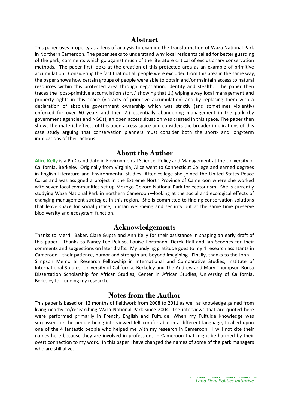#### **Abstract**

This paper uses property as a lens of analysis to examine the transformation of Waza National Park in Northern Cameroon. The paper seeks to understand why local residents called for better guarding of the park, comments which go against much of the literature critical of exclusionary conservation methods. The paper first looks at the creation of this protected area as an example of primitive accumulation. Considering the fact that not all people were excluded from this area in the same way, the paper shows how certain groups of people were able to obtain and/or maintain access to natural resources within this protected area through negotiation, identity and stealth. The paper then traces the 'post‐primitive accumulation story,' showing that 1.) wiping away local management and property rights in this space (via acts of primitive accumulation) and by replacing them with a declaration of absolute government ownership which was strictly (and sometimes violently) enforced for over 60 years and then 2.) essentially abandoning management in the park (by government agencies and NGOs), an open access situation was created in this space. The paper then shows the material effects of this open access space and considers the broader implications of this case study arguing that conservation planners must consider both the short‐ and long‐term implications of their actions.

#### **About the Author**

**Alice Kelly** is a PhD candidate in Environmental Science, Policy and Management at the University of California, Berkeley. Originally from Virginia, Alice went to Connecticut College and earned degrees in English Literature and Environmental Studies. After college she joined the United States Peace Corps and was assigned a project in the Extreme North Province of Cameroon where she worked with seven local communities set up Mozogo-Gokoro National Park for ecotourism. She is currently studying Waza National Park in northern Cameroon—looking at the social and ecological effects of changing management strategies in this region. She is committed to finding conservation solutions that leave space for social justice, human well‐being and security but at the same time preserve biodiversity and ecosystem function.

#### **Acknowledgements**

Thanks to Merrill Baker, Clare Gupta and Ann Kelly for their assistance in shaping an early draft of this paper. Thanks to Nancy Lee Peluso, Louise Fortmann, Derek Hall and Ian Scoones for their comments and suggestions on later drafts. My undying gratitude goes to my 4 research assistants in Cameroon—their patience, humor and strength are beyond imagining. Finally, thanks to the John L. Simpson Memorial Research Fellowship in International and Comparative Studies, Institute of International Studies, University of California, Berkeley and The Andrew and Mary Thompson Rocca Dissertation Scholarship for African Studies, Center in African Studies, University of California, Berkeley for funding my research.

### **Notes from the Author**

This paper is based on 12 months of fieldwork from 2008 to 2011 as well as knowledge gained from living nearby to/researching Waza National Park since 2004. The interviews that are quoted here were performed primarily in French, English and Fulfulde. When my Fulfulde knowledge was surpassed, or the people being interviewed felt comfortable in a different language, I called upon one of the 4 fantastic people who helped me with my research in Cameroon. I will not cite their names here because they are involved in professions in Cameroon that might be harmed by their overt connection to my work. In this paper I have changed the names of some of the park managers who are still alive. 

*Land Deal Politics Initiative*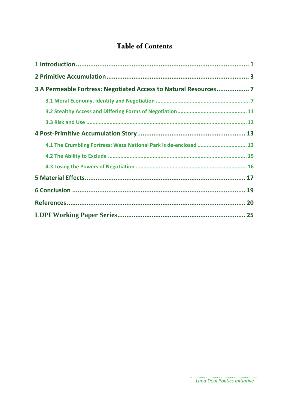# **Table of Contents**

| 3 A Permeable Fortress: Negotiated Access to Natural Resources 7  |  |
|-------------------------------------------------------------------|--|
|                                                                   |  |
|                                                                   |  |
|                                                                   |  |
|                                                                   |  |
| 4.1 The Crumbling Fortress: Waza National Park is de-enclosed  13 |  |
|                                                                   |  |
|                                                                   |  |
|                                                                   |  |
|                                                                   |  |
|                                                                   |  |
|                                                                   |  |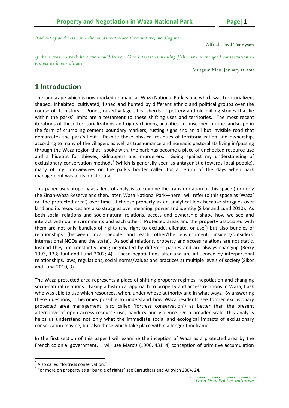*And out of darkness came the hands that reach thro' nature, molding men.* 

Alfred Lloyd Tennyson

*If there was no park here we would leave. Our interest is stealing fish. We want good conservation to protect us in our village.* 

Musgum Man, January 12, 2011

# **1 Introduction**

The landscape which is now marked on maps as Waza National Park is one which was territorialized, shaped, inhabited, cultivated, fished and hunted by different ethnic and political groups over the course of its history. Ponds, raised village sites, sherds of pottery and old milling stones that lie within the parks' limits are a testament to these shifting uses and territories. The most recent iterations of these territorializations and rights‐claiming activities are inscribed on the landscape in the form of crumbling cement boundary markers, rusting signs and an all but invisible road that demarcates the park's limit. Despite these physical residues of territorialization and ownership, according to many of the villagers as well as trashumance and nomadic pastoralists living in/passing through the Waza region that I spoke with, the park has become a place of unchecked resource use and a hideout for thieves, kidnappers and murderers. Going against my understanding of exclusionary conservation methods<sup>1</sup> (which is generally seen as antagonistic towards local people), many of my interviewees on the park's border called for a return of the days when park management was at its most brutal.

This paper uses property as a lens of analysis to examine the transformation of this space (formerly the Zinah‐Waza Reserve and then, later, Waza National Park—here I will refer to this space as 'Waza' or 'the protected area') over time. I choose property as an analytical lens because struggles over land and its resources are also struggles over meaning, power and identity (Sikor and Lund 2010). As both social relations and socio‐natural relations, access and ownership shape how we see and interact with our environments and each other. Protected areas and the property associated with them are not only bundles of rights (the right to exclude, alienate, or use<sup>2</sup>) but also bundles of relationships (between local people and each other/the environment, insiders/outsiders, international NGOs and the state). As social relations, property and access relations are not static. Instead they are constantly being negotiated by different parties and are always changing (Berry 1993, 133; Juul and Lund 2002; 4). These negotiations alter and are influenced by interpersonal relationships, laws, regulations, social norms/values and practices at multiple levels of society (Sikor and Lund 2010, 3).

The Waza protected area represents a place of shifting property regimes, negotiation and changing socio-natural relations. Taking a historical approach to property and access relations in Waza, I ask who was able to use which resources, when, under whose authority and in what ways. By answering these questions, it becomes possible to understand how Waza residents see former exclusionary protected area management (also called 'fortress conservation') as better than the present alternative of open access resource use, banditry and violence. On a broader scale, this analysis helps us understand not only what the immediate social and ecological impacts of exclusionary conservation may be, but also those which take place within a longer timeframe.

In the first section of this paper I will examine the inception of Waza as a protected area by the French colonial government. I will use Marx's (1906, 431–4) conception of primitive accumulation

<sup>&</sup>lt;sup>1</sup> Also called "fortress conservation."<br><sup>2</sup> For more on property as a "bundle of rights" see Carruthers and Ariovich 2004, 24.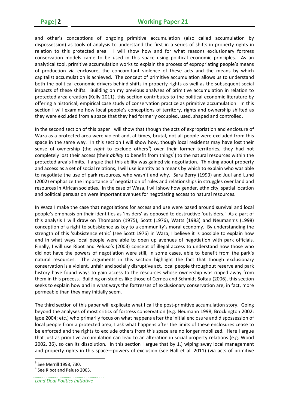and other's conceptions of ongoing primitive accumulation (also called accumulation by dispossession) as tools of analysis to understand the first in a series of shifts in property rights in relation to this protected area. I will show how and for what reasons exclusionary fortress conservation models came to be used in this space using political economic principles. As an analytical tool, primitive accumulation works to explain the process of expropriating people's means of production via enclosure, the concomitant violence of these acts and the means by which capitalist accumulation is achieved. The concept of primitive accumulation allows us to understand both the political‐economic drivers behind shifts in property rights as well as the subsequent social impacts of these shifts. Building on my previous analyses of primitive accumulation in relation to protected area creation (Kelly 2011), this section contributes to the political economic literature by offering a historical, empirical case study of conservation practice as primitive accumulation. In this section I will examine how local people's conceptions of territory, rights and ownership shifted as they were excluded from a space that they had formerly occupied, used, shaped and controlled.

In the second section of this paper I will show that though the acts of expropriation and enclosure of Waza as a protected area were violent and, at times, brutal, not all people were excluded from this space in the same way. In this section I will show how, though local residents may have lost their sense of ownership (the *right* to exclude others<sup>3</sup>) over their former territories, they had not completely lost their access (their *ability* to benefit from things<sup>4</sup>) to the natural resources within the protected area's limits. I argue that this ability was gained via negotiation. Thinking about property and access as a set of social relations, I will use identity as a means by which to explain who was able to negotiate the use of park resources, who wasn't and why. Sara Berry (1993) and Juul and Lund (2002) emphasize the importance of negotiation of rules and relationships in struggles over land and resources in African societies. In the case of Waza, I will show how gender, ethnicity, spatial location and political persuasion were important avenues for negotiating access to natural resources.

In Waza I make the case that negotiations for access and use were based around survival and local people's emphasis on their identities as 'insiders' as opposed to destructive 'outsiders.' As a part of this analysis I will draw on Thompson (1975), Scott (1976), Watts (1983) and Neumann's (1998) conception of a right to subsistence as key to a community's moral economy. By understanding the strength of this 'subsistence ethic' (see Scott 1976) in Waza, I believe it is possible to explain how and in what ways local people were able to open up avenues of negotiation with park officials. Finally, I will use Ribot and Peluso's (2003) concept of illegal access to understand how those who did not have the powers of negotiation were still, in some cases, able to benefit from the park's natural resources. The arguments in this section highlight the fact that though exclusionary conservation is a violent, unfair and socially disruptive act, local people throughout reserve and park history have found ways to gain access to the resources whose ownership was ripped away from them in this process. Building on studies like those of Cernea and Schmidt‐Soltau (2006), this section seeks to explain how and in what ways the fortresses of exclusionary conservation are, in fact, more permeable than they may initially seem.

The third section of this paper will explicate what I call the post-primitive accumulation story. Going beyond the analyses of most critics of fortress conservation (e.g. Neumann 1998; Brockington 2002; Igoe 2004; etc.) who primarily focus on what happens after the initial enclosure and dispossession of local people from a protected area, I ask what happens after the limits of these enclosures cease to be enforced and the rights to exclude others from this space are no longer mobilized. Here I argue that just as primitive accumulation can lead to an alteration in social property relations (e.g. Wood 2002, 36), so can its dissolution. In this section I argue that by 1.) wiping away local management and property rights in this space—powers of exclusion (see Hall et al. 2011) (via acts of primitive

 $3$  See Merrill 1998, 730.<br> $4$  See Ribot and Peluso 2003.

*Land Deal Politics Initiative*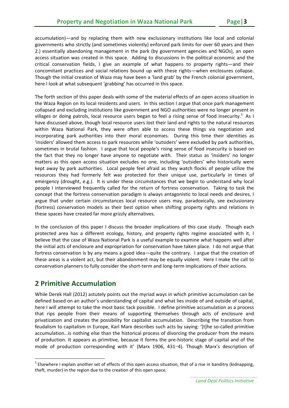accumulation)—and by replacing them with new exclusionary institutions like local and colonial governments who strictly (and sometimes violently) enforced park limits for over 60 years and then 2.) essentially abandoning management in the park (by government agencies and NGOs), an open access situation was created in this space. Adding to discussions in the political economic and the critical conservation fields, I give an example of what happens to property rights—and their concomitant practices and social relations bound up with these rights—when enclosures collapse. Though the initial creation of Waza may have been a 'land grab' by the French colonial government, here I look at what subsequent 'grabbing' has occurred in this space.

The forth section of this paper deals with some of the material effects of an open access situation in the Waza Region on its local residents and users. In this section I argue that once park management collapsed and excluding institutions like government and NGO authorities were no longer present in villages or doing patrols, local resource users began to feel a rising sense of food insecurity.<sup>5</sup> As I have discussed above, though local resource users lost their land and rights to the natural resources within Waza National Park, they were often able to access these things via negotiation and incorporating park authorities into their moral economies. During this time their identities as 'insiders' allowed them access to park resources while 'outsiders' were excluded by park authorities, sometimes in brutal fashion. I argue that local people's rising sense of food insecurity is based on the fact that they no longer have anyone to negotiate with. Their status as 'insiders' no longer matters as this open access situation excludes no one, including 'outsiders' who historically were kept away by park authorities. Local people feel afraid as they watch flocks of people utilize the resources they had formerly felt was protected for their unique use, particularly in times of emergency (drought, e.g.). It is under these circumstances that we begin to understand why local people I interviewed frequently called for the return of fortress conservation. Taking to task the concept that the fortress conservation paradigm is always antagonistic to local needs and desires, I argue that under certain circumstances local resource users may, paradoxically, see exclusionary (fortress) conservation models as their best option when shifting property rights and relations in these spaces have created far more grizzly alternatives.

In the conclusion of this paper I discuss the broader implications of this case study. Though each protected area has a different ecology, history, and property rights regime associated with it, I believe that the case of Waza National Park is a useful example to examine what happens well after the initial acts of enclosure and expropriation for conservation have taken place. I do not argue that fortress conservation is by any means a good idea—quite the contrary. I argue that the creation of these areas is a violent act, but their abandonment may be equally violent. Here I make the call to conservation planners to fully consider the short-term and long-term implications of their actions.

# **2 Primitive Accumulation**

While Derek Hall (2012) astutely points out the myriad ways in which primitive accumulation can be defined based on an author's understanding of capital and what lies inside of and outside of capital, here I will attempt to take the most basic tack possible. I define primitive accumulation as a process that rips people from their means of supporting themselves through acts of enclosure and privatization and creates the possibility for capitalist accumulation. Describing the transition from feudalism to capitalism in Europe, Karl Marx describes such acts by saying: '[t]he so-called primitive accumulation…is nothing else than the historical process of divorcing the producer from the means of production. It appears as primitive, because it forms the pre‐historic stage of capital and of the mode of production corresponding with it' (Marx 1906, 431–4). Though Marx's description of

 $<sup>5</sup>$  Elsewhere I explain another set of effects of this open access situation, that of a rise in banditry (kidnapping,</sup> theft, murder) in the region due to the creation of this open space.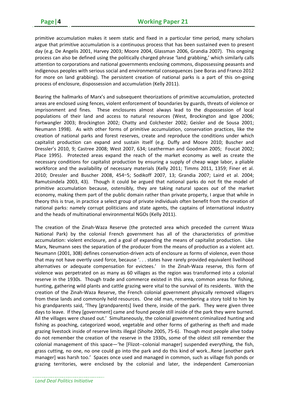primitive accumulation makes it seem static and fixed in a particular time period, many scholars argue that primitive accumulation is a continuous process that has been sustained even to present day (e.g. De Angelis 2001, Harvey 2003; Moore 2004, Glassman 2006, Grandia 2007). This ongoing process can also be defined using the politically charged phrase 'land grabbing,' which similarly calls attention to corporations and national governments enclosing commons, dispossessing peasants and indigenous peoples with serious social and environmental consequences (see Boras and Franco 2012 for more on land grabbing). The persistent creation of national parks is a part of this on-going process of enclosure, dispossession and accumulation (Kelly 2011).

Bearing the hallmarks of Marx's and subsequent theorizations of primitive accumulation, protected areas are enclosed using fences, violent enforcement of boundaries by guards, threats of violence or imprisonment and fines. These enclosures almost always lead to the dispossession of local populations of their land and access to natural resources (West, Brockington and Igoe 2006; Fortwangler 2003; Brockington 2002; Chatty and Colchester 2002; Geisler and de Sousa 2001; Neumann 1998). As with other forms of primitive accumulation, conservation practices, like the creation of national parks and forest reserves, create and reproduce the conditions under which capitalist production can expand and sustain itself (e.g. Duffy and Moore 2010; Buscher and Dressler's 2010, 9; Castree 2008; West 2007, 634; Leatherman and Goodman 2005; Foucat 2002; Place 1995). Protected areas expand the reach of the market economy as well as create the necessary conditions for capitalist production by ensuring a supply of cheap wage labor, a pliable workforce and the availability of necessary materials (Kelly 2011; Timms 2011, 1359; Finer et al. 2010; Dressler and Buscher 2008, 454–5; Sodikoff 2007, 13; Grandia 2007; Laird et al. 2004; Ramutsindela 2003, 43). Though it could be argued that national parks do not fit the model of primitive accumulation because, ostensibly, they are taking natural spaces *out* of the market economy, making them part of the public domain rather than private property, I argue that while in theory this is true, in practice a select group of private individuals often benefit from the creation of national parks: namely corrupt politicians and state agents, the captains of international industry and the heads of multinational environmental NGOs (Kelly 2011).

The creation of the Zinah‐Waza Reserve (the protected area which preceded the current Waza National Park) by the colonial French government has all of the characteristics of primitive accumulation: violent enclosure, and a goal of expanding the means of capitalist production. Like Marx, Neumann sees the separation of the producer from the means of production as a violent act. Neumann (2001, 308) defines conservation‐driven acts of enclosure as forms of violence, even those that may not have overtly used force, because '. . . states have rarely provided equivalent livelihood alternatives or adequate compensation for evictees.' In the Zinah-Waza reserve, this form of violence was perpetrated on as many as 60 villages as the region was transformed into a colonial reserve in the 1930s. Though trade and commerce existed in this area, common areas for fishing, hunting, gathering wild plants and cattle grazing were vital to the survival of its residents. With the creation of the Zinah‐Waza Reserve, the French colonial government physically removed villagers from these lands and commonly held resources. One old man, remembering a story told to him by his grandparents said, 'They [grandparents] lived there, inside of the park. They were given three days to leave. If they [government] came and found people still inside of the park they were burned. All the villages were chased out.' Simultaneously, the colonial government criminalized hunting and fishing as poaching, categorized wood, vegetable and other forms of gathering as theft and made grazing livestock inside of reserve limits illegal (Sholte 2005, 75‐6). Though most people alive today do not remember the creation of the reserve in the 1930s, some of the oldest still remember the colonial management of this space—'he [Flizot‐‐colonial manager] suspended everything, the fish, grass cutting, no one, no one could go into the park and do this kind of work…Rene [another park manager] was harsh too.' Spaces once used and managed in common, such as village fish ponds or grazing territories, were enclosed by the colonial and later, the independent Cameroonian

*Land Deal Politics Initiative*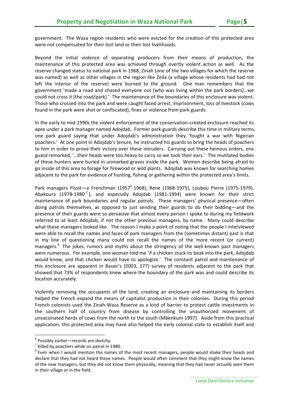government. The Waza region residents who were evicted for the creation of this protected area were not compensated for their lost land or their lost livelihoods.

Beyond the initial violence of separating producers from their means of production, the maintenance of this protected area was achieved through overtly violent action as well. As the reserve changed status to national park in 1968, Zinah (one of the two villages for which the reserve was named) as well as other villages in the region like Zeila (a village whose residents had had not left the interior of the reserve) were burned to the ground. One man remembers that the government 'made a road and chased everyone out [who was living within the park borders]…we could not cross it [the road/park].' The maintenance of the boundaries of this enclosure was violent. Those who crossed into the park and were caught faced arrest, imprisonment, loss of livestock (cows found in the park were shot or confiscated), fines or violence from park guards.

In the early to mid‐1990s the violent enforcement of the conservation‐created enclosure reached its apex under a park manager named Adojdab. Former park guards describe this time in military terms, one park guard saying that under Adojdab's administration they 'fought a war with Nigerian poachers.' At one point in Adojdab's tenure, he instructed his guards to bring the heads of poachers to him in order to prove their victory over these intruders. Carrying out these heinous orders, one guard remarked, '…their heads were too heavy to carry so we took their ears.' The mutilated bodies of these hunters were buried in unmarked graves inside the park. Women describe being afraid to go inside of this area to forage for firewood or wild plants. Adojdab was known for searching homes adjacent to the park for evidence of hunting, fishing or gathering within the protected area's limits.

Park managers Flizot—a Frenchman (1957<sup>6</sup>-1968), Rene (1968-1975), Loubou Pierre (1975-1979), Abakoura (1978-1980<sup>7</sup>), and especially Adoidab (1981-1994) were known for their strict maintenance of park boundaries and regular patrols. These managers' physical presence—often doing patrols themselves, as opposed to just sending their guards to do their bidding—and the presence of their guards were so pervasive that almost every person I spoke to during my fieldwork referred to at least Adojdab, if not the other previous managers, by name. Many could describe what these managers looked like. The reason I make a point of noting that the people I interviewed were able to recall the names and faces of park managers from the (sometimes distant) past is that in my line of questioning many could not recall the names of the more recent (or current) managers.<sup>8</sup> The jokes, rumors and myths about the stringency of the well-known past managers were numerous. For example, one woman told me 'if a chicken stuck its beak into the park, Adojdab would know, and that chicken would have to apologize.' The constant patrol and maintenance of this enclosure are apparent in Bauer's (2003, 177) survey of residents adjacent to the park that showed that 73% of respondents knew where the boundary of the park was and could describe its location accurately.

Violently removing the occupants of the land, creating an enclosure and maintaining its borders helped the French expand the means of capitalist production in their colonies. During this period French colonists used the Zinah‐Waza Reserve as a kind of barrier to protect cattle investments in the southern half of country from disease by controlling the unauthorized movement of unvaccinated herds of cows from the north to the south (Mbenkum 1997). Aside from this practical application, this protected area may have also helped the early colonial state to establish itself and

<sup>&</sup>lt;sup>6</sup> Possibly earlier—records are sketchy.<br><sup>7</sup> Killed by poachers while on patrol in 1980.<br><sup>8</sup> Even when I would mention the names of the most recent managers, people would shake their heads and declare that they had not heard these names. People would often comment that they might know the names of the new managers, but they did not know them physically, meaning that they had never actually seen them in their village or in the field.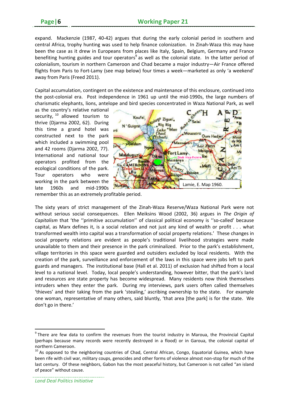expand. Mackenzie (1987, 40-42) argues that during the early colonial period in southern and central Africa, trophy hunting was used to help finance colonization. In Zinah‐Waza this may have been the case as it drew in Europeans from places like Italy, Spain, Belgium, Germany and France benefiting hunting guides and tour operators<sup>9</sup> as well as the colonial state. In the latter period of colonialism, tourism in northern Cameroon and Chad became a major industry—Air France offered flights from Paris to Fort-Lamy (see map below) four times a week—marketed as only 'a weekend' away from Paris (Freed 2011).

Capital accumulation, contingent on the existence and maintenance of this enclosure, continued into the post-colonial era. Post independence in 1961 up until the mid-1990s, the large numbers of charismatic elephants, lions, antelope and bird species concentrated in Waza National Park, as well

as the country's relative national security,  $10$  allowed tourism to thrive (Djarma 2002, 62). During this time a grand hotel was constructed next to the park which included a swimming pool and 42 rooms (Djarma 2002, 77). International and national tour operators profited from the ecological conditions of the park. Tour operators who were working in the park between the late 1960s and mid‐1990s



remember this as an extremely profitable period.

The sixty years of strict management of the Zinah‐Waza Reserve/Waza National Park were not without serious social consequences. Ellen Meiksins Wood (2002, 36) argues in *The Origin of Capitalism* that 'the ''primitive accumulation'' of classical political economy is ''so‐called' because capital, as Marx defines it, is a social relation and not just any kind of wealth or profit . . . what transformed wealth into capital was a transformation of social property relations.' These changes in social property relations are evident as people's traditional livelihood strategies were made unavailable to them and their presence in the park criminalized. Prior to the park's establishment, village territories in this space were guarded and outsiders excluded by local residents. With the creation of the park, surveillance and enforcement of the laws in this space were jobs left to park guards and managers. The institutional base (Hall et al. 2011) of exclusion had shifted from a local level to a national level. Today, local people's understanding, however bitter, that the park's land and resources are state property has become widespread. Many residents now think themselves intruders when they enter the park. During my interviews, park users often called themselves 'thieves' and their taking from the park 'stealing,' ascribing ownership to the state. For example one woman, representative of many others, said bluntly, 'that area [the park] is for the state. We don't go in there.'

<sup>&</sup>lt;sup>9</sup> There are few data to confirm the revenues from the tourist industry in Maroua, the Provincial Capital (perhaps because many records were recently destroyed in a flood) or in Garoua, the colonial capital of

northern Cameroon.<br><sup>10</sup> As opposed to the neighboring countries of Chad, Central African, Congo, Equatorial Guinea, which have been rife with civil war, military coups, genocides and other forms of violence almost non‐stop for much of the last century. Of these neighbors, Gabon has the most peaceful history, but Cameroon is not called "an island of peace" without cause.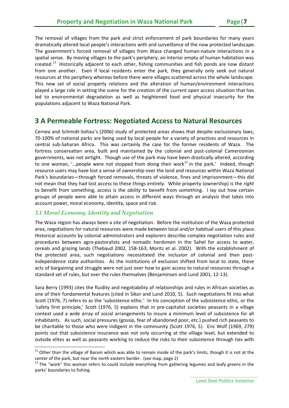The removal of villages from the park and strict enforcement of park boundaries for many years dramatically altered local people's interactions with and surveillance of the now protected landscape. The government's forced removal of villages from Waza changed human‐nature interactions in a spatial sense. By moving villages to the park's periphery, an interior empty of human habitation was created.<sup>11</sup> Historically adjacent to each other, fishing communities and fish ponds are now distant from one another. Even if local residents enter the park, they generally only seek out natural resources at the periphery whereas before there were villages scattered across the whole landscape. This new set of social property relations and the alteration of human/environment interactions played a large role in setting the scene for the creation of the current open access situation that has led to environmental degradation as well as heightened food and physical insecurity for the populations adjacent to Waza National Park.

# **3 A Permeable Fortress: Negotiated Access to Natural Resources**

Cernea and Schmidt‐Soltau's (2006) study of protected areas shows that despite exclusionary laws, 70‐100% of national parks are being used by local people for a variety of practices and resources in central sub-Saharan Africa. This was certainly the case for the former residents of Waza. The fortress conservation area, built and maintained by the colonial and post-colonial Cameroonian governments, was not airtight. Though use of the park may have been drastically altered, according to one woman, '... people were not stopped from doing their work<sup>12</sup> in the park.' Indeed, though resource users may have lost a sense of *ownership* over the land and resources within Waza National Park's boundaries—through forced removals, threats of violence, fines and imprisonment—this did not mean that they had lost *access* to these things entirely. While property (ownership) is the *right* to benefit from something, access is the *ability* to benefit from something. I lay out how certain groups of people were able to attain access in different ways through an analysis that takes into account power, moral economy, identity, space and risk.

#### *3.1 Moral Economy, Identity and Negotiation*

The Waza region has always been a site of negotiation. Before the institution of the Waza protected area, negotiations for natural resources were made between local and/or habitual users of this place. Historical accounts by colonial administrators and explorers describe complex negotiation rules and procedures between agro‐pastoralists and nomadic herdsmen in the Sahel for access to water, cereals and grazing lands (Thebaud 2002, 158‐163; Moritz et al. 2002). With the establishment of the protected area, such negotiations necessitated the inclusion of colonial and then postindependence state authorities. As the institutions of exclusion shifted from local to state, these acts of bargaining and struggle were not just over how to gain access to natural resources through a standard set of rules, but over the rules themselves (Benjaminsen and Lund 2001, 12‐13).

Sara Berry (1993) cites the fluidity and negotiability of relationships and rules in African societies as one of their fundamental features (cited in Sikor and Lund 2010, 5). Such negotiations fit into what Scott (1976, 7) refers to as the 'subsistence ethic.' In his conception of the subsistence ethic, or the 'safety first principle,' Scott (1976, 5) explains that in pre‐capitalist societies peasants in a village context used a wide array of social arrangements to insure a minimum level of subsistence for all inhabitants. As such, social pressures (gossip, fear of abandoned poor, etc.) pushed rich peasants to be charitable to those who were indigent in the community (Scott 1976, 5). Eric Wolf (1969, 279) points out that subsistence insurance was not only occurring at the village level, but extended to outside elites as well as peasants working to reduce the risks to their subsistence through ties with

 $11$  Other than the village of Baram which was able to remain inside of the park's limits, though it is not at the center of the park, but near the north eastern border. (see map, page 2)<br><sup>12</sup> The "work" this woman refers to could include everything from gathering legumes and leafy greens in the

parks' boundaries to fishing.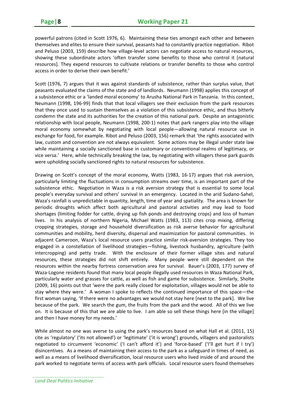powerful patrons (cited in Scott 1976, 6). Maintaining these ties amongst each other and between themselves and elites to ensure their survival, peasants had to constantly practice negotiation. Ribot and Peluso (2003, 159) describe how village‐level actors can negotiate access to natural resources, showing these subordinate actors 'often transfer some benefits to those who control it [natural resources]. They expend resources to cultivate relations or transfer benefits to those who control access in order to derive their own benefit.'

Scott (1976, 7) argues that it was against standards of subsistence, rather than surplus value, that peasants evaluated the claims of the state and of landlords. Neumann (1998) applies this concept of a subsistence ethic or a 'landed moral economy' to Arusha National Park in Tanzania. In this context, Neumann (1998, 196‐99) finds that that local villagers see their exclusion from the park resources that they once used to sustain themselves as a violation of this subsistence ethic, and thus bitterly condemn the state and its authorities for the creation of this national park. Despite an antagonistic relationship with local people, Neumann (1998, 200-1) notes that park rangers play into the village moral economy somewhat by negotiating with local people—allowing natural resource use in exchange for food, for example. Ribot and Peluso (2003, 156) remark that 'the rights associated with law, custom and convention are not always equivalent. Some actions may be illegal under state law while maintaining a socially sanctioned base in customary or conventional realms of legitimacy, or vice versa.' Here, while technically breaking the law, by negotiating with villagers these park guards were upholding socially sanctioned rights to natural resources for subsistence.

Drawing on Scott's concept of the moral economy, Watts (1983, 16‐17) argues that risk aversion, particularly limiting the fluctuations in consumption streams over time, is an important part of the subsistence ethic. Negotiation in Waza is a risk aversion strategy that is essential to some local people's everyday survival and others' survival in an emergency. Located in the arid Sudano‐Sahel, Waza's rainfall is unpredictable in quantity, length, time of year and spatiality. The area is known for periodic droughts which affect both agricultural and pastoral activities and may lead to food shortages (limiting fodder for cattle, drying up fish ponds and destroying crops) and loss of human lives. In his analysis of northern Nigeria, Michael Watts (1983, 113) cites crop mixing, differing cropping strategies, storage and household diversification as risk averse behavior for agricultural communities and mobility, herd diversity, dispersal and maximization for pastoral communities. In adjacent Cameroon, Waza's local resource users practice similar risk‐aversion strategies. They too engaged in a constellation of livelihood strategies—fishing, livestock husbandry, agriculture (with intercropping) and petty trade. With the enclosure of their former village sites and natural resources, these strategies did not shift entirely. Many people were still dependent on the resources within the nearby fortress conservation area for survival. Bauer's (2003, 177) survey of Waza‐Logone residents found that many local people illegally used resources in Waza National Park, particularly water and grasses for cattle, as well as fish and game for subsistence. Similarly, Sholte (2009, 16) points out that 'were the park really closed for exploitation, villages would not be able to stay where they were.' A woman I spoke to reflects the continued importance of this space—the first woman saying, 'If there were no advantages we would not stay here [next to the park]. We live because of the park. We search the gum, the fruits from the park and the wood. All of this we live on. It is because of this that we are able to live. I am able so sell these things here [in the village] and then I have money for my needs.'

While almost no one was averse to using the park's resources based on what Hall et al. (2011, 15) cite as 'regulatory' ('its not allowed') or 'legitimate' ('it is wrong') grounds, villagers and pastoralists negotiated to circumvent 'economic' ('I can't afford it') and 'force‐based' ('I'll get hurt if I try') disincentives. As a means of maintaining their access to the park as a safeguard in times of need, as well as a means of livelihood diversification, local resource users who lived inside of and around the park worked to negotiate terms of access with park officials. Local resource users found themselves

*Land Deal Politics Initiative*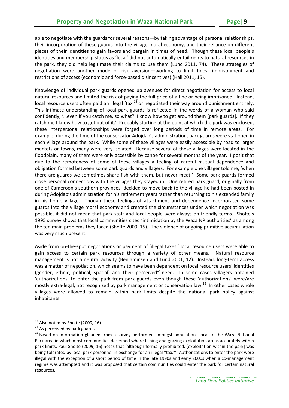able to negotiate with the guards for several reasons—by taking advantage of personal relationships, their incorporation of these guards into the village moral economy, and their reliance on different pieces of their identities to gain favors and bargain in times of need. Though these local people's identities and membership status as 'local' did not automatically entail rights to natural resources in the park, they did help legitimate their claims to use them (Lund 2011, 74). These strategies of negotiation were another mode of risk aversion—working to limit fines, imprisonment and restrictions of access (economic and force-based disincentives) (Hall 2011, 15).

Knowledge of individual park guards opened up avenues for direct negotiation for access to local natural resources and limited the risk of paying the full price of a fine or being imprisoned. Instead, local resource users often paid an illegal 'tax'<sup>13</sup> or negotiated their way around punishment entirely. This intimate understanding of local park guards is reflected in the words of a woman who said confidently, '…even if you catch me, so what? I know how to get around them [park guards]. If they catch me I know how to get out of it.' Probably starting at the point at which the park was enclosed, these interpersonal relationships were forged over long periods of time in remote areas. For example, during the time of the conservator Adojdab's administration, park guards were stationed in each village around the park. While some of these villages were easily accessible by road to larger markets or towns, many were very isolated. Because several of these villages were located in the floodplain, many of them were only accessible by canoe for several months of the year. I posit that due to the remoteness of some of these villages a feeling of careful mutual dependence and obligation formed between some park guards and villagers. For example one villager told me, 'when there are guards we sometimes share fish with them, but never meat.' Some park guards formed close personal connections with the villages they stayed in. One retired park guard, originally from one of Cameroon's southern provinces, decided to move back to the village he had been posted in during Adojdab's administration for his retirement years rather than returning to his extended family in his home village. Though these feelings of attachment and dependence incorporated some guards into the village moral economy and created the circumstances under which negotiation was possible, it did not mean that park staff and local people were always on friendly terms. Sholte's 1995 survey shows that local communities cited 'intimidation by the Waza NP authorities' as among the ten main problems they faced (Sholte 2009, 15). The violence of ongoing primitive accumulation was very much present.

Aside from on-the-spot negotiations or payment of 'illegal taxes,' local resource users were able to gain access to certain park resources through a variety of other means. Natural resource management is not a neutral activity (Benjaminsen and Lund 2001, 12). Instead, long-term access was a matter of negotiation, which seems to have been dependent on local resource users' identities (gender, ethnic, political, spatial) and their perceived<sup>14</sup> need. In some cases villagers obtained 'authorizations' to enter the park from park guards even though these 'authorizations' were/are mostly extra-legal, not recognized by park management or conservation law.<sup>15</sup> In other cases whole villages were allowed to remain within park limits despite the national park policy against inhabitants.

<sup>&</sup>lt;sup>13</sup> Also noted by Sholte (2009, 16).

<sup>&</sup>lt;sup>14</sup> As perceived by park guards.<br><sup>15</sup> Based on information gleaned from a survey performed amongst populations local to the Waza National Park area in which most communities described where fishing and grazing exploitation areas accurately within park limits, Paul Sholte (2009, 16) notes that 'although formally prohibited, [exploitation within the park] was being tolerated by local park personnel in exchange for an illegal "tax."' Authorizations to enter the park were illegal with the exception of a short period of time in the late 1990s and early 2000s when a co-management regime was attempted and it was proposed that certain communities could enter the park for certain natural resources.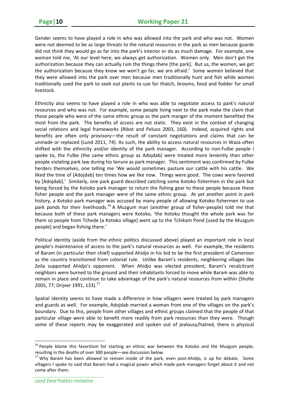Gender seems to have played a role in who was allowed into the park and who was not. Women were not deemed to be as large threats to the natural resources in the park as men because guards did not think they would go as far into the park's interior or do as much damage. For example, one woman told me, 'At our level here, we always get authorization. Women only. Men don't get the authorization because they can actually ruin the things there [the park]. But us, the women, we get the authorization because they know we won't go far, we are afraid.' Some women believed that they were allowed into the park over men because men traditionally hunt and fish while women traditionally used the park to seek out plants to use for thatch, brooms, food and fodder for small livestock.

Ethnicity also seems to have played a role in who was able to negotiate access to park's natural resources and who was not. For example, some people living next to the park make the claim that those people who were of the same ethnic group as the park manger of the moment benefited the most from the park. The benefits of access are not static. They exist in the context of changing social relations and legal frameworks (Ribot and Peluso 2003, 160). Indeed, acquired rights and benefits are often only provisory—the result of constant negotiations and claims that can be unmade or replaced (Lund 2011, 74). As such, the ability to access natural resources in Waza often shifted with the ethnicity and/or identity of the park manager. According to non-Fulbe people I spoke to, the Fulbe (the same ethnic group as Adojdab) were treated more leniently than other people violating park law during his tenure as park manager. This sentiment was confirmed by Fulbe herders themselves, one telling me 'We would sometimes pasture our cattle with his cattle. We liked the time of [Adojdab] ten times how we like now. Things were good. The cows were favored by [Adojdab].' Similarly, one park guard described catching some Kotoko fishermen in the park but being forced by the Kotoko park manager to return the fishing gear to these people because these fisher people and the park manager were of the same ethnic group. At yet another point in park history, a Kotoko park manager was accused by many people of allowing Kotoko fishermen to use park ponds for their livelihoods.<sup>16</sup> A Muzgum man (another group of fisher-people) told me that because both of these park managers were Kotoko, 'the Kotoko thought the whole park was for them so people from Tchede [a Kotoko village] went up to the Tchikam Pond [used by the Muzgum people] and began fishing there.'

Political identity (aside from the ethnic politics discussed above) played an important role in local people's maintenance of access to the park's natural resources as well. For example, the residents of Baram (in particular their chief) supported Ahidjo in his bid to be the first president of Cameroon as the country transitioned from colonial rule. Unlike Baram's residents, neighboring villages like Zeila supported Ahidjo's opponent. When Ahidjo was elected president, Baram's recalcitrant neighbors were burned to the ground and their inhabitants forced to move while Baram was able to remain in place and continue to take advantage of the park's natural resources from within (Sholte 2005, 77; Drijver 1991, 133).<sup>17</sup>

Spatial identity seems to have made a difference in how villagers were treated by park managers and guards as well. For example, Adojdab married a woman from one of the villages on the park's boundary. Due to this, people from other villages and ethnic groups claimed that the people of that particular village were able to benefit more readily from park resources than they were. Though some of these reports may be exaggerated and spoken out of jealousy/hatred, there is physical

<sup>&</sup>lt;sup>16</sup> People blame this favoritism for starting an ethnic war between the Kotoko and the Muzgum people, resulting in the deaths of over 300 people—see discussion below.<br><sup>17</sup> Why Baram has been allowed to remain inside of the park, even post-Ahidjo, is up for debate. Some

villagers I spoke to said that Baram had a magical power which made park managers forget about it and not come after them.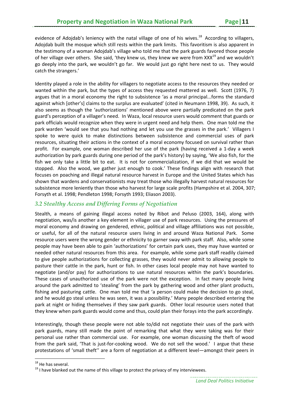evidence of Adojdab's leniency with the natal village of one of his wives.<sup>18</sup> According to villagers, Adojdab built the mosque which still rests within the park limits. This favoritism is also apparent in the testimony of a woman Adojdab's village who told me that the park guards favored those people of her village over others. She said, 'they knew us, they knew we were from XXX<sup>19</sup> and we wouldn't go deeply into the park, we wouldn't go far. We would just go right here next to us. They would catch the strangers.'

Identity played a role in the ability for villagers to negotiate access to the resources they needed or wanted within the park, but the types of access they requested mattered as well. Scott (1976, 7) argues that in a moral economy the right to subsistence 'as a moral principal...forms the standard against which [other's] claims to the surplus are evaluated' (cited in Neumann 1998, 39). As such, it also seems as though the 'authorizations' mentioned above were partially predicated on the park guard's perception of a villager's need. In Waza, local resource users would comment that guards or park officials would recognize when they were in urgent need and help them. One man told me the park warden 'would see that you had nothing and let you use the grasses in the park.' Villagers I spoke to were quick to make distinctions between subsistence and commercial uses of park resources, situating their actions in the context of a moral economy focused on survival rather than profit. For example, one woman described her use of the park (having received a 1-day a week authorization by park guards during one period of the park's history) by saying, 'We also fish, for the fish we only take a little bit to eat. It is not for commercialization, if we did that we would be stopped. Also the wood, we gather just enough to cook.' These findings align with research that focuses on poaching and illegal natural resource harvest in Europe and the United States which has shown that wardens and conservationists may treat those who illegally harvest natural resources for subsistence more leniently than those who harvest for large scale profits (Hampshire et al. 2004, 307; Forsyth et al. 1998; Pendleton 1998; Forsyth 1993; Eliason 2003).

#### *3.2 Stealthy Access and Differing Forms of Negotiation*

Stealth, a means of gaining illegal access noted by Ribot and Peluso (2003, 164), along with negotiation, was/is another a key element in villager use of park resources. Using the pressures of moral economy and drawing on gendered, ethnic, political and village affiliations was not possible, or useful, for all of the natural resource users living in and around Waza National Park. Some resource users were the wrong gender or ethnicity to garner sway with park staff. Also, while some people may have been able to gain 'authorizations' for certain park uses, they may have wanted or needed other natural resources from this area. For example, while some park staff readily claimed to give people authorizations for collecting grasses, they would never admit to allowing people to pasture their cattle in the park, hunt or fish. In other cases local people may not have wanted to negotiate (and/or pay) for authorizations to use natural resources within the park's boundaries. These cases of unauthorized use of the park were not the exception. In fact many people living around the park admitted to 'stealing' from the park by gathering wood and other plant products, fishing and pasturing cattle. One man told me that 'a person could make the decision to go steal, and he would go steal unless he was seen, it was a possibility.' Many people described entering the park at night or hiding themselves if they saw park guards. Other local resource users noted that they knew when park guards would come and thus, could plan their forays into the park accordingly.

Interestingly, though these people were not able to/did not negotiate their uses of the park with park guards, many still made the point of remarking that what they were taking was for their personal use rather than commercial use. For example, one woman discussing the theft of wood from the park said, 'That is just-for-cooking wood. We do not sell the wood.' I argue that these protestations of 'small theft'' are a form of negotiation at a different level—amongst their peers in

<sup>&</sup>lt;sup>18</sup> He has several.

<sup>&</sup>lt;sup>19</sup> I have blanked out the name of this village to protect the privacy of my interviewees.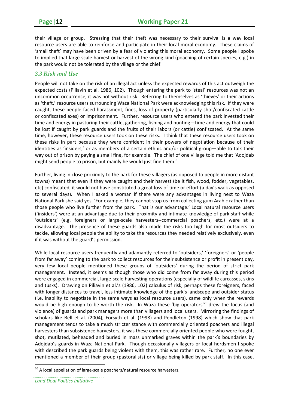their village or group. Stressing that their theft was necessary to their survival is a way local resource users are able to reinforce and participate in their local moral economy. These claims of 'small theft' may have been driven by a fear of violating this moral economy. Some people I spoke to implied that large‐scale harvest or harvest of the wrong kind (poaching of certain species, e.g.) in the park would not be tolerated by the village or the chief.

#### *3.3 Risk and Use*

People will not take on the risk of an illegal act unless the expected rewards of this act outweigh the expected costs (Piliavin et al. 1986, 102). Though entering the park to 'steal' resources was not an uncommon occurrence, it was not without risk. Referring to themselves as 'thieves' or their actions as 'theft,' resource users surrounding Waza National Park were acknowledging this risk. If they were caught, these people faced harassment, fines, loss of property (particularly shot/confiscated cattle or confiscated axes) or imprisonment. Further, resource users who entered the park invested their time and energy in pasturing their cattle, gathering, fishing and hunting—time and energy that could be lost if caught by park guards and the fruits of their labors (or cattle) confiscated. At the same time, however, these resource users took on these risks. I think that these resource users took on these risks in part because they were confident in their powers of negotiation because of their identities as 'insiders,' or as members of a certain ethnic and/or political group—able to talk their way out of prison by paying a small fine, for example. The chief of one village told me that 'Adojdab might send people to prison, but mainly he would just fine them.'

Further, living in close proximity to the park for these villagers (as opposed to people in more distant towns) meant that even if they were caught and their harvest (be it fish, wood, fodder, vegetables, etc) confiscated, it would not have constituted a great loss of time or effort (a day's walk as opposed to several days). When I asked a woman if there were any advantages in living next to Waza National Park she said yes, 'For example, they cannot stop us from collecting gum Arabic rather than those people who live further from the park. That is our advantage.' Local natural resource users ('insiders') were at an advantage due to their proximity and intimate knowledge of park staff while 'outsiders' (e.g. foreigners or large‐scale harvesters‐‐commercial poachers, etc.) were at a disadvantage. The presence of these guards also made the risks too high for most outsiders to tackle, allowing local people the ability to take the resources they needed relatively exclusively, even if it was without the guard's permission.

While local resource users frequently and adamantly referred to 'outsiders,' 'foreigners' or 'people from far away' coming to the park to collect resources for their subsistence or profit in present day, very few local people mentioned these groups of 'outsiders' during the period of strict park management. Instead, it seems as though those who did come from far away during this period were engaged in commercial, large‐scale harvesting operations (especially of wildlife carcasses, skins and tusks). Drawing on Piliavin et al.'s (1986, 102) calculus of risk, perhaps these foreigners, faced with longer distances to travel, less intimate knowledge of the park's landscape and outsider status (i.e. inability to negotiate in the same ways as local resource users), came only when the rewards would be high enough to be worth the risk. In Waza these 'big operators'<sup>20</sup> drew the focus (and violence) of guards and park managers more than villagers and local users. Mirroring the findings of scholars like Bell et al. (2004), Forsyth et al. (1998) and Pendleton (1998) which show that park management tends to take a much stricter stance with commercially oriented poachers and illegal harvesters than subsistence harvesters, it was these commercially oriented people who were fought, shot, mutilated, beheaded and buried in mass unmarked graves within the park's boundaries by Adojdab's guards in Waza National Park. Though occasionally villagers or local herdsmen I spoke with described the park guards being violent with them, this was rather rare. Further, no one ever mentioned a member of their group (pastoralists) or village being killed by park staff. In this case,

 $20$  A local appellation of large-scale poachers/natural resource harvesters.

*Land Deal Politics Initiative*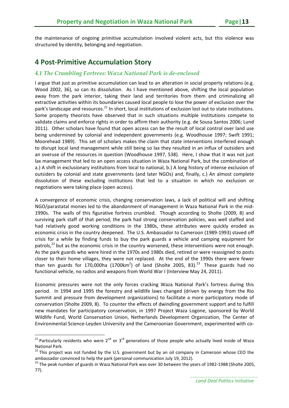the maintenance of ongoing primitive accumulation involved violent acts, but this violence was structured by identity, belonging and negotiation.

# **4 Post‐Primitive Accumulation Story**

#### *4.1 The Crumbling Fortress: Waza National Park is de-enclosed*

I argue that just as primitive accumulation can lead to an alteration in social property relations (e.g. Wood 2002, 36), so can its dissolution. As I have mentioned above, shifting the local population away from the park interior, taking their land and territories from them and criminalizing all extractive activities within its boundaries caused local people to lose the power of exclusion over the park's landscape and resources.<sup>21</sup> In short, local institutions of exclusion lost out to state institutions. Some property theorists have observed that in such situations multiple institutions compete to validate claims and enforce rights in order to affirm their authority (e.g. de Sousa Santos 2006; Lund 2011). Other scholars have found that open access can be the result of local control over land use being undermined by colonial and independent governments (e.g. Woodhouse 1997; Swift 1991; Moorehead 1989). This set of scholars makes the claim that state interventions interfered enough to disrupt local land management while still being so lax they resulted in an influx of outsiders and an overuse of the resources in question (Woodhouse 1997, 538). Here, I show that it was not just lax management that led to an open access situation in Waza National Park, but the combination of a.) A shift in exclusionary institutions from local to national, b.) A long history of intense exclusion of outsiders by colonial and state governments (and later NGOs) and, finally, c.) An almost complete dissolution of these excluding institutions that led to a situation in which no exclusion or negotiations were taking place (open access).

A convergence of economic crisis, changing conservation laws, a lack of political will and shifting NGO/parastatal monies led to the abandonment of management in Waza National Park in the mid‐ 1990s. The walls of this figurative fortress crumbled. Though according to Sholte (2009, 8) and surviving park staff of that period, the park had strong conservation policies, was well staffed and had relatively good working conditions in the 1980s, these attributes were quickly eroded as economic crisis in the country deepened. The U.S. Ambassador to Cameroon (1989‐1993) staved off crisis for a while by finding funds to buy the park guards a vehicle and camping equipment for patrols, $^{22}$  but as the economic crisis in the country worsened, these interventions were not enough. As the park guards who were hired in the 1970s and 1980s died, retired or were reassigned to posts closer to their home villages, they were not replaced. At the end of the 1990s there were fewer than ten guards for 170,000ha (1700 $km^2$ ) of land (Sholte 2005, 83). $^{23}$  These guards had no functional vehicle, no radios and weapons from World War I (Interview May 24, 2011).

Economic pressures were not the only forces cracking Waza National Park's fortress during this period. In 1994 and 1995 the forestry and wildlife laws changed (driven by energy from the Rio Summit and pressure from development organizations) to facilitate a more participatory mode of conservation (Sholte 2009, 8). To counter the effects of dwindling government support and to fulfill new mandates for participatory conservation, in 1997 Project Waza Logone, sponsored by World Wildlife Fund, World Conservation Union, Netherlands Development Organization, The Center of Environmental Science‐Leyden University and the Cameroonian Government, experimented with co‐

<sup>&</sup>lt;sup>21</sup> Particularly residents who were 2<sup>nd</sup> or 3<sup>rd</sup> generations of those people who actually lived inside of Waza National Park.<br><sup>22</sup> This project was not funded by the U.S. government but by an oil company in Cameroon whose CEO the

ambassador convinced to help the park (personal communication July 19, 2012).<br><sup>23</sup> The peak number of guards in Waza National Park was over 30 between the years of 1982-1988 (Sholte 2005,

<sup>77).</sup>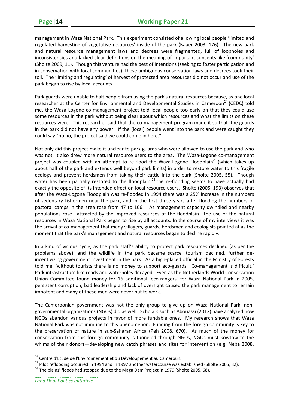management in Waza National Park. This experiment consisted of allowing local people 'limited and regulated harvesting of vegetative resources' inside of the park (Bauer 2003, 176). The new park and natural resource management laws and decrees were fragmented, full of loopholes and inconsistencies and lacked clear definitions on the meaning of important concepts like 'community' (Sholte 2009, 11). Though this venture had the best of intentions (seeking to foster participation and in conservation with local communities), these ambiguous conservation laws and decrees took their toll. The 'limiting and regulating' of harvest of protected area resources did not occur and use of the park began to rise by local accounts.

Park guards were unable to halt people from using the park's natural resources because, as one local researcher at the Center for Environmental and Developmental Studies in Cameroon<sup>24</sup> (CEDC) told me, the Waza Logone co-management project told local people too early on that they could use some resources in the park without being clear about which resources and what the limits on these resources were. This researcher said that the co-management program made it so that 'the guards in the park did not have any power. If the [local] people went into the park and were caught they could say "no no, the project said we could come in here."'

Not only did this project make it unclear to park guards who were allowed to use the park and who was not, it also drew more natural resource users to the area. The Waza-Logone co-management project was coupled with an attempt to re-flood the Waza-Logone Floodplain<sup>25</sup> (which takes up about half of the park and extends well beyond park limits) in order to restore water to this fragile ecology and prevent herdsmen from taking their cattle into the park (Sholte 2005, 55). Though water has been partially restored to the floodplain,<sup>26</sup> the re-flooding seems to have actually had exactly the opposite of its intended effect on local resource users. Sholte (2005, 193) observes that after the Waza‐Logone Floodplain was re‐flooded in 1994 there was a 25% increase in the numbers of sedentary fishermen near the park, and in the first three years after flooding the numbers of pastoral camps in the area rose from 47 to 106. As management capacity dwindled and nearby populations rose—attracted by the improved resources of the floodplain—the use of the natural resources in Waza National Park began to rise by all accounts. In the course of my interviews it was the arrival of co-management that many villagers, guards, herdsmen and ecologists pointed at as the moment that the park's management and natural resources began to decline rapidly.

In a kind of vicious cycle, as the park staff's ability to protect park resources declined (as per the problems above), and the wildlife in the park became scarce, tourism declined, further de‐ incentivizing government investment in the park. As a high‐placed official in the Ministry of Forests told me, 'without tourists there is no money to support eco-guards. Co-management is difficult.' Park infrastructure like roads and waterholes decayed. Even as the Netherlands World Conservation Union Committee found money for 16 additional 'eco-rangers' for Waza National Park in 2005, persistent corruption, bad leadership and lack of oversight caused the park management to remain impotent and many of these men were never put to work.

The Cameroonian government was not the only group to give up on Waza National Park, nongovernmental organizations (NGOs) did as well. Scholars such as Abouassi (2012) have analyzed how NGOs abandon various projects in favor of more fundable ones. My research shows that Waza National Park was not immune to this phenomenon. Funding from the foreign community is key to the preservation of nature in sub-Saharan Africa (Peh 2008, 670). As much of the money for conservation from this foreign community is funneled through NGOs, NGOs must kowtow to the whims of their donors—developing new catch phrases and sites for intervention (e.g. Neba 2008,

<sup>&</sup>lt;sup>24</sup> Centre d'Etude de l'Environnement et du Développement au Cameroun.

 $^{25}$  Pilot reflooding occurred in 1994 and in 1997 another watercourse was established (Sholte 2005, 82).<br><sup>26</sup> The plains' floods had stopped due to the Maga Dam Project in 1979 (Sholte 2005, 68).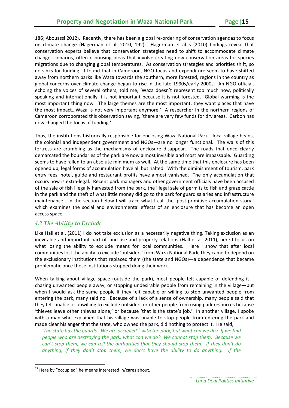186; Abouassi 2012). Recently, there has been a global re-ordering of conservation agendas to focus on climate change (Hagerman et al. 2010, 192). Hagerman et al.'s (2010) findings reveal that conservation experts believe that conservation strategies need to shift to accommodate climate change scenarios, often espousing ideas that involve creating new conservation areas for species migrations due to changing global temperatures. As conservation strategies and priorities shift, so do sinks for funding. I found that in Cameroon, NGO focus and expenditure seem to have shifted away from northern parks like Waza towards the southern, more forested, regions in the country as global concerns over climate change began to rise in the late 1990s/early 2000s. An NGO official, echoing the voices of several others, told me, 'Waza doesn't represent too much now, politically speaking and internationally it is not important because it is not forested. Global warming is the most important thing now. The large themes are the most important, they want places that have the most impact…Waza is not very important anymore.' A researcher in the northern regions of Cameroon corroborated this observation saying, 'there are very few funds for dry areas. Carbon has now changed the focus of funding.'

Thus, the institutions historically responsible for enclosing Waza National Park—local village heads, the colonial and independent government and NGOs—are no longer functional. The walls of this fortress are crumbling as the mechanisms of enclosure disappear. The roads that once clearly demarcated the boundaries of the park are now almost invisible and most are impassable. Guarding seems to have fallen to an absolute minimum as well. At the same time that this enclosure has been opened up, legal forms of accumulation have all but halted. With the diminishment of tourism, park entry fees, hotel, guide and restaurant profits have almost vanished. The only accumulation that occurs now is extra‐legal. Recent park managers and other government officials have been accused of the sale of fish illegally harvested from the park, the illegal sale of permits to fish and graze cattle in the park and the theft of what little money did go to the park for guard salaries and infrastructure maintenance. In the section below I will trace what I call the 'post-primitive accumulation story,' which examines the social and environmental effects of an enclosure that has become an open access space.

#### *4.2 The Ability to Exclude*

Like Hall et al. (2011) I do not take exclusion as a necessarily negative thing. Taking exclusion as an inevitable and important part of land use and property relations (Hall et al. 2011), here I focus on what losing the ability to exclude means for local communities. Here I show that after local communities lost the ability to exclude 'outsiders' from Waza National Park, they came to depend on the exclusionary institutions that replaced them (the state and NGOs)—a dependence that became problematic once those institutions stopped doing their work.

When talking about village space (outside the park), most people felt capable of defending it chasing unwanted people away, or stopping undesirable people from remaining in the village—but when I would ask the same people if they felt capable or willing to stop unwanted people from entering the park, many said no. Because of a lack of a sense of ownership, many people said that they felt unable or unwilling to exclude outsiders or other people from using park resources because 'thieves leave other thieves alone,' or because 'that is the state's job.' In another village, I spoke with a man who explained that his village was unable to stop people from entering the park and made clear his anger that the state, who owned the park, did nothing to protect it. He said,

'The state has the guards. We are occupied<sup>27</sup> with the park, but what can we do? If we find *people who are destroying the park, what can we do? We cannot stop them. Because we can't stop them, we can tell the authorities that they should stop them. If they don't do anything, if they don't stop them, we don't have the ability to do anything. If the*

 $27$  Here by "occupied" he means interested in/cares about.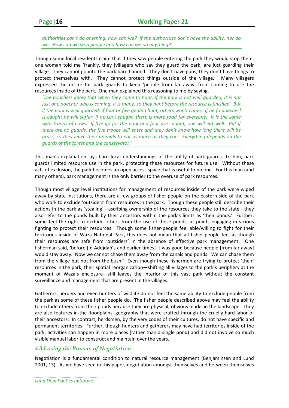*authorities can't do anything, how can we? If the authorities don't have the ability, nor do we. How can we stop people and how can we do anything?'* 

Though some local residents claim that if they saw people entering the park they would stop them, one woman told me 'frankly, they [villagers who say they guard the park] are just guarding their village. They cannot go into the park bare handed. They don't have guns, they don't have things to protect themselves with. They cannot protect things outside of the village.' Many villagers expressed the desire for park guards to keep 'people from far away' from coming to use the resources inside of the park. One man explained this reasoning to me by saying,

*'The poachers know that when they come to hunt, if the park is not well guarded, it is not* just one poacher who is coming, it is many, so they hunt before the resource is finished. But if the park is well guarded, if four or five go and hunt, others won't come. If he [a poacher] is caught he will suffer, if he isn't caught, there is more food for everyone. It is the same with troops of cows. If five go for the park and four are caught, one will eat well. But if *there are no guards, the five troops will enter and they don't know how long there will be grass, so they leave their animals to eat as much as they can. Everything depends on the guards of the forest and the conservator.'*

This man's explanation lays bare local understandings of the utility of park guards. To him, park guards limited resource use in the park, protecting these resources for future use. Without these acts of exclusion, the park becomes an open access space that is useful to no one. For this man (and many others), park management is the only barrier to the overuse of park resources.

Though most village level institutions for management of resources inside of the park were wiped away by state institutions, there are a few groups of fisher-people on the eastern side of the park who work to exclude 'outsiders' from resources in the park. Though these people still describe their actions in the park as 'stealing'—ascribing ownership of the resources they take to the state—they also refer to the ponds built by their ancestors within the park's limits as 'their ponds.' Further, some feel the right to exclude others from the use of these ponds, at points engaging in vicious fighting to protect their resources. Though some fisher-people feel able/willing to fight for their territories inside of Waza National Park, this does not mean that all fisher‐people feel as though their resources are safe from 'outsiders' in the absence of effective park management. One fisherman said, 'before [in Adojdab's and earlier times] it was good because people [from far away] would stay away. Now we cannot chase them away from the canals and ponds. We can chase them from the village but not from the bush.' Even though these fishermen are trying to protect 'their' resources in the park, their spatial reorganization—shifting all villages to the park's periphery at the moment of Waza's enclosure—still leaves the interior of this vast park without the constant surveillance and management that are present in the villages.

Gatherers, herders and even hunters of wildlife do not feel the same ability to exclude people from the park as some of these fisher people do. The fisher people described above may feel the ability to exclude others from their ponds because they are physical, obvious marks in the landscape. They are also features in the floodplains' geography that were crafted through the cruelly hard labor of their ancestors. In contrast, herdsmen, by the very codes of their cultures, do not have specific and permanent territories. Further, though hunters and gatherers may have had territories inside of the park, activities can happen in more places (rather than a single pond) and did not involve so much visible manual labor to construct and maintain over the years.

#### *4.3 Losing the Powers of Negotiation*

Negotiation is a fundamental condition to natural resource management (Benjaminsen and Lund 2001, 13). As we have seen in this paper, negotiation amongst themselves and between themselves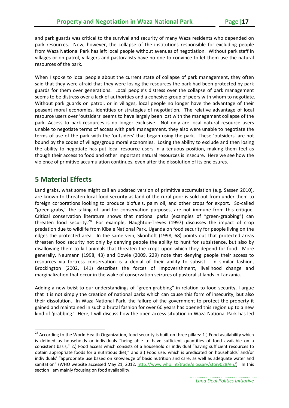and park guards was critical to the survival and security of many Waza residents who depended on park resources. Now, however, the collapse of the institutions responsible for excluding people from Waza National Park has left local people without avenues of negotiation. Without park staff in villages or on patrol, villagers and pastoralists have no one to convince to let them use the natural resources of the park.

When I spoke to local people about the current state of collapse of park management, they often said that they were afraid that they were losing the resources the park had been protected by park guards for them over generations. Local people's distress over the collapse of park management seems to be distress over a lack of authorities and a cohesive group of peers with whom to negotiate. Without park guards on patrol, or in villages, local people no longer have the advantage of their peasant moral economies, identities or strategies of negotiation. The relative advantage of local resource users over 'outsiders' seems to have largely been lost with the management collapse of the park. Access to park resources is no longer exclusive. Not only are local natural resource users unable to negotiate terms of access with park management, they also were unable to negotiate the terms of use of the park with the 'outsiders' that began using the park. These 'outsiders' are not bound by the codes of village/group moral economies. Losing the ability to exclude and then losing the ability to negotiate has put local resource users in a tenuous position, making them feel as though their access to food and other important natural resources is insecure. Here we see how the violence of primitive accumulation continues, even after the dissolution of its enclosures.

# **5 Material Effects**

Land grabs, what some might call an updated version of primitive accumulation (e.g. Sassen 2010), are known to threaten local food security as land of the rural poor is sold out from under them to foreign corporations looking to produce biofuels, palm oil, and other crops for export. So-called "green‐grabs," the taking of land for conservation purposes, are not immune from this critique. Critical conservation literature shows that national parks (examples of "green‐grabbing") can threaten food security.<sup>28</sup> For example, Naughton-Treves (1997) discusses the impact of crop predation due to wildlife from Kibale National Park, Uganda on food security for people living on the edges the protected area. In the same vein, Skonhoft (1998, 68) points out that protected areas threaten food security not only by denying people the ability to hunt for subsistence, but also by disallowing them to kill animals that threaten the crops upon which they depend for food. More generally, Neumann (1998, 43) and Dowie (2009, 229) note that denying people their access to resources via fortress conservation is a denial of their ability to subsist. In similar fashion, Brockington (2002, 141) describes the forces of impoverishment, livelihood change and marginalization that occur in the wake of conservation seizures of pastoralist lands in Tanzania.

Adding a new twist to our understandings of "green grabbing" in relation to food security, I argue that it is not simply the creation of national parks which can cause this form of insecurity, but also their dissolution. In Waza National Park, the failure of the government to protect the property it gained and maintained in such a brutal fashion for over 60 years has opened this region up to a new kind of 'grabbing.' Here, I will discuss how the open access situation in Waza National Park has led

<sup>&</sup>lt;sup>28</sup> According to the World Health Organization, food security is built on three pillars: 1.) Food availability which is defined as households or individuals "being able to have sufficient quantities of food available on a consistent basis," 2.) Food access which consists of a household or individual "having sufficient resources to obtain appropriate foods for a nutritious diet," and 3.) Food use: which is predicated on households' and/or individuals' "appropriate use based on knowledge of basic nutrition and care, as well as adequate water and sanitation" (WHO website accessed May 21, 2012: http://www.who.int/trade/glossary/story028/en/). In this section I am mainly focusing on food availability.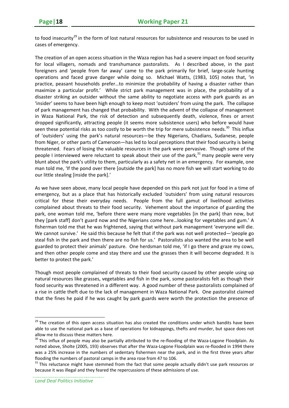to food insecurity<sup>29</sup> in the form of lost natural resources for subsistence and resources to be used in cases of emergency.

The creation of an open access situation in the Waza region has had a severe impact on food security for local villagers, nomads and transhumance pastoralists. As I described above, in the past foreigners and 'people from far away' came to the park primarily for brief, large-scale hunting operations and faced grave danger while doing so. Michael Watts, (1983, 105) notes that, 'in practice, peasant households prefer…to minimize the probability of having a disaster rather than maximize a particular profit.' While strict park management was in place, the probability of a disaster striking an outsider without the same ability to negotiate access with park guards as an 'insider' seems to have been high enough to keep most 'outsiders' from using the park. The collapse of park management has changed that probability. With the advent of the collapse of management in Waza National Park, the risk of detection and subsequently death, violence, fines or arrest dropped significantly, attracting people (it seems more subsistence users) who before would have seen these potential risks as too costly to be worth the trip for mere subsistence needs.<sup>30</sup> This influx of 'outsiders' using the park's natural resources—be they Nigerians, Chadians, Sudanese, people from Niger, or other parts of Cameroon—has led to local perceptions that their food security is being threatened. Fears of losing the valuable resources in the park were pervasive. Though some of the people I interviewed were reluctant to speak about their use of the park, $31$  many people were very blunt about the park's utility to them, particularly as a safety net in an emergency. For example, one man told me, 'If the pond over there [outside the park] has no more fish we will start working to do our little stealing [inside the park].'

As we have seen above, many local people have depended on this park not just for food in a time of emergency, but as a place that has historically excluded 'outsiders' from using natural resources critical for these their everyday needs. People from the full gamut of livelihood activities complained about threats to their food security. Vehement about the importance of guarding the park, one woman told me, 'before there were many more vegetables [in the park] than now, but they [park staff] don't guard now and the Nigerians come here…looking for vegetables and gum.' A fisherman told me that he was frightened, saying that without park management 'everyone will die. We cannot survive.' He said this because he felt that if the park was not well protected—'people go steal fish in the park and then there are no fish for us.' Pastoralists also wanted the area to be well guarded to protect their animals' pasture. One herdsman told me, 'if I go there and graze my cows, and then other people come and stay there and use the grasses then it will become degraded. It is better to protect the park.'

Though most people complained of threats to their food security caused by other people using up natural resources like grasses, vegetables and fish in the park, some pastoralists felt as though their food security was threatened in a different way. A good number of these pastoralists complained of a rise in cattle theft due to the lack of management in Waza National Park. One pastoralist claimed that the fines he paid if he was caught by park guards were worth the protection the presence of

<sup>&</sup>lt;sup>29</sup> The creation of this open access situation has also created the conditions under which bandits have been able to use the national park as a base of operations for kidnappings, thefts and murder, but space does not allow me to discuss these matters here.<br><sup>30</sup> This influx of people may also be partially attributed to the re-flooding of the Waza-Logone Floodplain. As

noted above, Sholte (2005, 193) observes that after the Waza‐Logone Floodplain was re‐flooded in 1994 there was a 25% increase in the numbers of sedentary fishermen near the park, and in the first three years after flooding the numbers of pastoral camps in the area rose from 47 to 106.<br><sup>31</sup> This reluctance might have stemmed from the fact that some people actually didn't use park resources or

because it was illegal and they feared the repercussions of these admissions of use.

*Land Deal Politics Initiative*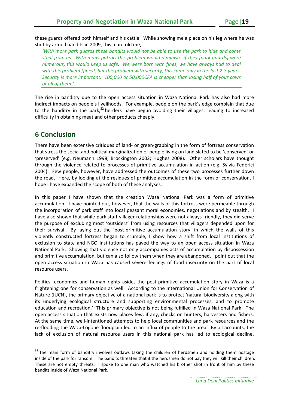these guards offered both himself and his cattle. While showing me a place on his leg where he was shot by armed bandits in 2009, this man told me,

*'With more park guards these bandits would not be able to use the park to hide and come steal from us. With many patrols this problem would diminish…if they [park guards] were numerous, this would keep us safe. We were born with fines, we have always had to deal* with this problem [fines], but this problem with security, this came only in the last 2-3 years. *Security is more important. 100,000 or 50,000CFA is cheaper than losing half of your cows or all of them.'* 

The rise in banditry due to the open access situation in Waza National Park has also had more indirect impacts on people's livelihoods. For example, people on the park's edge complain that due to the banditry in the park, $32$  herders have begun avoiding their villages, leading to increased difficulty in obtaining meat and other products cheaply.

# **6 Conclusion**

There have been extensive critiques of land‐ or green‐grabbing in the form of fortress conservation that stress the social and political marginalization of people living on land slated to be 'conserved' or 'preserved' (e.g. Neumann 1998, Brockington 2002; Hughes 2008). Other scholars have thought through the violence related to processes of primitive accumulation in action (e.g. Sylvia Federici 2004). Few people, however, have addressed the outcomes of these two processes further down the road. Here, by looking at the residues of primitive accumulation in the form of conservation, I hope I have expanded the scope of both of these analyses.

In this paper I have shown that the creation Waza National Park was a form of primitive accumulation. I have pointed out, however, that the walls of this fortress were permeable through the incorporation of park staff into local peasant moral economies, negotiations and by stealth. I have also shown that while park staff‐villager relationships were not always friendly, they did serve the purpose of excluding most 'outsiders' from using resources that villagers depended upon for their survival. By laying out the 'post-primitive accumulation story' in which the walls of this violently constructed fortress began to crumble, I show how a shift from local institutions of exclusion to state and NGO institutions has paved the way to an open access situation in Waza National Park. Showing that violence not only accompanies acts of accumulation by dispossession and primitive accumulation, but can also follow them when they are abandoned, I point out that the open access situation in Waza has caused severe feelings of food insecurity on the part of local resource users.

Politics, economics and human rights aside, the post-primitive accumulation story in Waza is a frightening one for conservation as well. According to the International Union for Conservation of Nature (IUCN), the primary objective of a national park is to protect 'natural biodiversity along with its underlying ecological structure and supporting environmental processes, and to promote education and recreation.' This primary objective is not being fulfilled in Waza National Park. The open access situation that exists now places few, if any, checks on hunters, harvesters and fishers. At the same time, well-intentioned attempts to help local communities and park resources and the re‐flooding the Waza‐Logone floodplain led to an influx of people to the area. By all accounts, the lack of exclusion of natural resource users in this national park has led to ecological decline.

 $32$  The main form of banditry involves outlaws taking the children of herdsmen and holding them hostage inside of the park for ransom. The bandits threaten that if the herdsmen do not pay they will kill their children. These are not empty threats. I spoke to one man who watched his brother shot in front of him by these bandits inside of Waza National Park.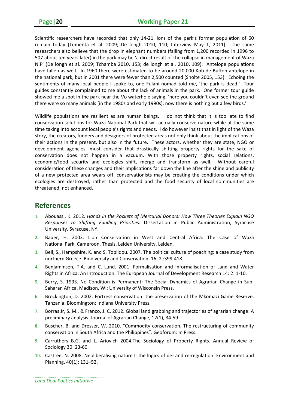Scientific researchers have recorded that only 14‐21 lions of the park's former population of 60 remain today (Tumenta et al. 2009; De longh 2010, 110; Interview May 1, 2011). The same researchers also believe that the drop in elephant numbers (falling from 1,200 recorded in 1996 to 507 about ten years later) in the park may be 'a direct result of the collapse in management of Waza N.P' (De longh et al. 2009; Tchamba 2010, 153; de longh et al. 2010, 109). Antelope populations have fallen as well. In 1960 there were estimated to be around 20,000 Kob de Buffon antelope in the national park, but in 2001 there were fewer than 2,500 counted (Sholte 2005, 153). Echoing the sentiments of many local people I spoke to, one Fulani nomad told me, 'the park is dead.' Tour guides constantly complained to me about the lack of animals in the park. One former tour guide showed me a spot in the park near the Vo waterhole saying, 'here you couldn't even see the ground there were so many animals [in the 1980s and early 1990s], now there is nothing but a few birds.'

Wildlife populations are resilient as are human beings. I do not think that it is too late to find conservation solutions for Waza National Park that will actually conserve nature while at the same time taking into account local people's rights and needs. I do however insist that in light of the Waza story, the creators, funders and designers of protected areas not only think about the implications of their actions in the present, but also in the future. These actors, whether they are state, NGO or development agencies, must consider that drastically shifting property rights for the sake of conservation does not happen in a vacuum. With those property rights, social relations, economic/food security and ecologies shift, merge and transform as well. Without careful consideration of these changes and their implications far down the line after the shine and publicity of a new protected area wears off, conservationists may be creating the conditions under which ecologies are destroyed, rather than protected and the food security of local communities are threatened, not enhanced.

## **References**

- **1.** Abouassi, K. 2012. *Hands in the Pockets of Mercurial Donors: How Three Theories Explain NGO Responses to Shifting Funding Priorities.* Dissertation in Public Administration, Syracuse University. Syracuse, NY.
- **2.** Bauer, H. 2003. Lion Conservation in West and Central Africa: The Case of Waza National Park, Cameroon. Thesis, Leiden University, Leiden.
- **3.** Bell, S., Hampshire, K. and S. Toplidou. 2007. The political culture of poaching: a case study from northern Greece. Biodiversity and Conservation. 16: 2 :399‐418.
- **4.** Benjaminsen, T.A. and C. Lund. 2001. Formalisation and Informalisation of Land and Water Rights in Africa: An Introduction. The European Journal of Development Research 14: 2: 1‐10.
- **5.** Berry, S. 1993. No Condition is Permanent: The Social Dynamics of Agrarian Change in Sub‐ Saharan Africa. Madison, WI: University of Wisconsin Press.
- **6.** Brockington, D. 2002. Fortress conservation: the preservation of the Mkomazi Game Reserve, Tanzania. Bloomington: Indiana University Press.
- **7.** Borras Jr, S. M., & Franco, J. C. 2012. Global land grabbing and trajectories of agrarian change: A preliminary analysis. Journal of Agrarian Change, 12(1), 34‐59.
- **8.** Buscher, B. and Dresser, W. 2010. "Commodity conservation. The restructuring of community conservation in South Africa and the Philippines". Geoforum: In Press.
- **9.** Carruthers B.G. and L. Ariovich 2004.The Sociology of Property Rights. Annual Review of Sociology 30: 23‐60.
- **10.** Castree, N. 2008. Neoliberalising nature I: the logics of de‐ and re‐regulation. Environment and Planning, 40(1): 131–52.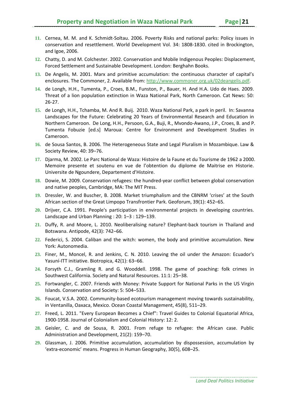- **11.** Cernea, M. M. and K. Schmidt‐Soltau. 2006. Poverty Risks and national parks: Policy issues in conservation and resettlement. World Development Vol. 34: 1808‐1830. cited in Brockington, and Igoe, 2006.
- **12.** Chatty, D. and M. Colchester. 2002. Conservation and Mobile Indigenous Peoples: Displacement, Forced Settlement and Sustainable Development. London: Berghahn Books.
- **13.** De Angelis, M. 2001. Marx and primitive accumulation: the continuous character of capital's enclosures. The Commoner, 2. Available from: http://www.commoner.org.uk/02deangelis.pdf.
- **14.** de Longh, H.H., Tumenta, P., Croes, B.M., Funston, P., Bauer, H. And H.A. Udo de Haes. 2009. Threat of a lion population extinction in Waza National Park, North Cameroon. Cat News: 50: 26‐27.
- **15.** de Longh, H.H., Tchamba, M. And R. Buij. 2010. Waza National Park, a park in peril. In: Savanna Landscapes for the Future: Celebrating 20 Years of Environmental Research and Education in Northern Cameroon. De Long, H.H., Persoon, G.A., Buji, R., Mvondo‐Awano, J.P., Croes, B. and P. Tumenta Fobuzie [ed.s] Maroua: Centre for Environment and Development Studies in Cameroon.
- **16.** de Sousa Santos, B. 2006. The Heterogeneous State and Legal Pluralism in Mozambique. Law & Society Review, 40: 39–76.
- **17.** Djarma, M. 2002. Le Parc National de Waza: Histoire de la Faune et du Tourisme de 1962 a 2000. Memoire presente et soutenu en vue de l'obtention du diplome de Maitrise en Historie. Universite de Ngoundere, Departement d'Histoire.
- **18.** Dowie, M. 2009. Conservation refugees: the hundred‐year conflict between global conservation and native peoples, Cambridge, MA: The MIT Press.
- **19.** Dressler, W. and Buscher, B. 2008. Market triumphalism and the CBNRM 'crises' at the South African section of the Great Limpopo Transfrontier Park. Geoforum, 39(1): 452–65.
- **20.** Drijver, C.A. 1991. People's participation in environmental projects in developing countries. Landscape and Urban Planning : 20: 1–3 : 129–139.
- **21.** Duffy, R. and Moore, L. 2010. Neoliberalising nature? Elephant‐back tourism in Thailand and Botswana. Antipode, 42(3): 742–66.
- **22.** Federici, S. 2004. Caliban and the witch: women, the body and primitive accumulation. New York: Autonomedia.
- **23.** Finer, M., Moncel, R. and Jenkins, C. N. 2010. Leaving the oil under the Amazon: Ecuador's Yasuní‐ITT initiative. Biotropica, 42(1): 63–66.
- **24.** Forsyth C.J., Gramling R. and G. Wooddell. 1998. The game of poaching: folk crimes in Southwest California. Society and Natural Resources. 11:1: 25–38.
- **25.** Fortwangler, C. 2007. Friends with Money: Private Support for National Parks in the US Virgin Islands. Conservation and Society: 5: 504–533.
- **26.** Foucat, V.S.A. 2002. Community‐based ecotourism management moving towards sustainability, in Ventanilla, Oaxaca, Mexico. Ocean Coastal Management, 45(8), 511–29.
- **27.** Freed, L. 2011. "Every European Becomes a Chief": Travel Guides to Colonial Equatorial Africa, 1900‐1958. Journal of Colonialism and Colonial History: 12: 2.
- **28.** Geisler, C. and de Sousa, R. 2001. From refuge to refugee: the African case. Public Administration and Development, 21(2): 159–70.
- **29.** Glassman, J. 2006. Primitive accumulation, accumulation by dispossession, accumulation by 'extra‐economic' means. Progress in Human Geography, 30(5), 608–25.

*Land Deal Politics Initiative*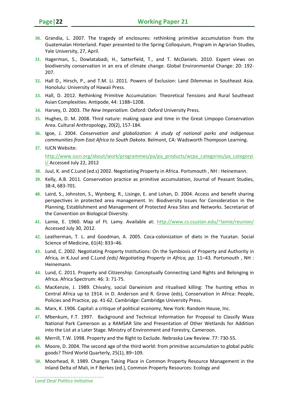- **30.** Grandia, L. 2007. The tragedy of enclosures: rethinking primitive accumulation from the Guatemalan Hinterland. Paper presented to the Spring Colloquium, Program in Agrarian Studies, Yale University, 27, April.
- **31.** Hagerman, S., Dowlatabadi, H., Satterfield, T., and T. McDaniels. 2010. Expert views on biodiversity conservation in an era of climate change. Global Environmental Change: 20: 192‐ 207.
- **32.** Hall D., Hirsch, P., and T.M. Li. 2011. Powers of Exclusion: Land Dilemmas in Southeast Asia. Honolulu: University of Hawaii Press.
- **33.** Hall, D. 2012. Rethinking Primitive Accumulation: Theoretical Tensions and Rural Southeast Asian Complexities. Antipode, 44: 1188–1208.
- **34.** Harvey, D. 2003. *The New Imperialism.* Oxford: Oxford University Press.
- **35.** Hughes, D. M. 2008. Third nature: making space and time in the Great Limpopo Conservation Area. Cultural Anthropology, 20(2), 157‐184.
- **36.** Igoe, J. 2004. *Conservation and globalization: A study of national parks and indigenous communities from East Africa to South Dakota.* Belmont, CA: Wadsworth Thompson Learning.
- **37.** IUCN Website:

http://www.iucn.org/about/work/programmes/pa/pa\_products/wcpa\_categories/pa\_categoryi i/ Accessed July 22, 2012

- **38.** Juul, K. and C.Lund (ed.s) 2002. Negotiating Property in Africa. Portsmouth , NH : Heinemann.
- **39.** Kelly, A.B. 2011. Conservation practice as primitive accumulation, Journal of Peasant Studies, 38:4, 683‐701.
- **40.** Laird, S., Johnston, S., Wynberg, R., Lisinge, E. and Lohan, D. 2004. Access and benefit sharing perspectives in protected area management. In: Biodiversity Issues for Consideration in the Planning, Establishment and Management of Protected Area Sites and Networks. Secretariat of the Convention on Biological Diversity.
- **41.** Lamie, E. 1960. Map of Ft. Lamy. Available at: http://www.cs.csustan.edu/~lamie/reunion/ Accessed July 30, 2012.
- **42.** Leatherman, T. L. and Goodman, A. 2005. Coca‐colonization of diets in the Yucatan. Social Science of Medicine, 61(4): 833–46.
- **43.** Lund, C. 2002. Negotiating Property Institutions: On the Symbiosis of Property and Authority in Africa*, in* K.Juul and C.Lund *(eds) Negotiating Property in Africa, pp.* 11*–*43*.* Portsmouth , NH : Heinemann.
- **44.** Lund, C. 2011. Property and Citizenship: Conceptually Connecting Land Rights and Belonging in Africa. Africa Spectrum: 46: 3: 71‐75.
- **45.** MacKenzie, J. 1989. Chivalry, social Darwinism and ritualised killing: The hunting ethos in Central Africa up to 1914. in D. Anderson and R. Grove (eds), Conservation in Africa: People, Policies and Practice, pp. 41‐62. Cambridge: Cambridge University Press.
- **46.** Marx, K. 1906. Capital: a critique of political economy, New York: Random House, Inc.
- **47.** Mbenkum, F.T. 1997. Background and Technical Information for Proposal to Classify Waza National Park Cameroon as a RAMSAR Site and Presentation of Other Wetlands for Addition into the List at a Later Stage. Ministry of Environment and Forestry, Cameroon.
- **48.** Merrill, T.W. 1998. Property and the Right to Exclude. Nebraska Law Review. 77: 730‐55.
- **49.** Moore, D. 2004. The second age of the third world: from primitive accumulation to global public goods? Third World Quarterly, 25(1), 89–109.
- **50.** Moorhead, R. 1989. Changes Taking Place in Common Property Resource Management in the Inland Delta of Mali, in F Berkes (ed.), Common Property Resources: Ecology and

*Land Deal Politics Initiative*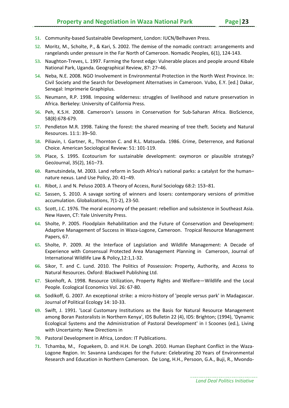- **51.** Community‐based Sustainable Development, London: IUCN/Belhaven Press.
- **52.** Moritz, M., Scholte, P., & Kari, S. 2002. The demise of the nomadic contract: arrangements and rangelands under pressure in the Far North of Cameroon. Nomadic Peoples, 6(1), 124‐143.
- **53.** Naughton‐Treves, L. 1997. Farming the forest edge: Vulnerable places and people around Kibale National Park, Uganda. Geographical Review, 87: 27–46.
- **54.** Neba, N.E. 2008. NGO Involvement in Environmental Protection in the North West Province. In: Civil Society and the Search for Development Alternatives in Cameroon. Vubo, E.Y. [ed.] Dakar, Senegal: Imprimerie Graphiplus.
- **55.** Neumann, R.P. 1998. Imposing wilderness: struggles of livelihood and nature preservation in Africa. Berkeley: University of California Press.
- **56.** Peh, K.S.H. 2008. Cameroon's Lessons in Conservation for Sub‐Saharan Africa. BioScience, 58(8):678‐679.
- **57.** Pendleton M.R. 1998. Taking the forest: the shared meaning of tree theft. Society and Natural Resources. 11:1: 39–50.
- **58.** Piliavin, I. Gartner, R., Thornton C. and R.L. Matsueda. 1986. Crime, Deterrence, and Rational Choice. American Sociological Review: 51: 101‐119.
- **59.** Place, S. 1995. Ecotourism for sustainable development: oxymoron or plausible strategy? GeoJournal, 35(2), 161–73.
- **60.** Ramutsindela, M. 2003. Land reform in South Africa's national parks: a catalyst for the human– nature nexus. Land Use Policy, 20: 41–49.
- **61.** Ribot, J. and N. Peluso 2003. A Theory of Access, Rural Sociology 68:2: 153–81.
- **62.** Sassen, S. 2010. A savage sorting of winners and losers: contemporary versions of primitive accumulation. Globalizations, 7(1‐2), 23‐50.
- **63.** Scott, J.C. 1976. The moral economy of the peasant: rebellion and subsistence in Southeast Asia. New Haven, CT: Yale University Press.
- **64.** Sholte, P. 2005. Floodplain Rehabilitation and the Future of Conservation and Development: Adaptive Management of Success in Waza‐Logone, Cameroon. Tropical Resource Management Papers, 67.
- **65.** Sholte, P. 2009. At the Interface of Legislation and Wildlife Management: A Decade of Experience with Consensual Protected Area Management Planning in Cameroon, Journal of International Wildlife Law & Policy,12:1,1‐32.
- **66.** Sikor, T. and C. Lund. 2010. The Politics of Possession: Property, Authority, and Access to Natural Resources. Oxford: Blackwell Publishing Ltd.
- **67.** Skonhoft, A. 1998. Resource Utilization, Property Rights and Welfare—Wildlife and the Local People. Ecological Economics Vol. 26: 67‐80.
- **68.** Sodikoff, G. 2007. An exceptional strike: a micro‐history of 'people versus park' in Madagascar. Journal of Political Ecology 14: 10‐33.
- **69.** Swift, J. 1991. 'Local Customary Institutions as the Basis for Natural Resource Management among Boran Pastoralists in Northern Kenya', IDS Bulletin 22 (4), IDS: Brighton; (1994), 'Dynamic Ecological Systems and the Administration of Pastoral Development' in I Scoones (ed.), Living with Uncertainty: New Directions in
- **70.** Pastoral Development in Africa, London: IT Publications.
- **71.** Tchamba, M., Foguekem, D. and H.H. De Longh. 2010. Human Elephant Conflict in the Waza‐ Logone Region. In: Savanna Landscapes for the Future: Celebrating 20 Years of Environmental Research and Education in Northern Cameroon. De Long, H.H., Persoon, G.A., Buji, R., Mvondo‐

*Land Deal Politics Initiative*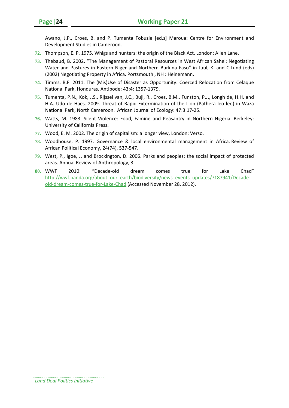Awano, J.P., Croes, B. and P. Tumenta Fobuzie [ed.s] Maroua: Centre for Environment and Development Studies in Cameroon.

- **72.** Thompson, E. P. 1975. Whigs and hunters: the origin of the Black Act, London: Allen Lane.
- **73.** Thebaud, B. 2002. "The Management of Pastoral Resources in West African Sahel: Negotiating Water and Pastures in Eastern Niger and Northern Burkina Faso" in Juul, K. and C.Lund (eds) (2002) Negotiating Property in Africa. Portsmouth , NH : Heinemann.
- **74.** Timms, B.F. 2011. The (Mis)Use of Disaster as Opportunity: Coerced Relocation from Celaque National Park, Honduras. Antipode: 43:4: 1357‐1379.
- **75.** Tumenta, P.N., Kok, J.S., Rijssel van, J.C., Buji, R., Croes, B.M., Funston, P.J., Longh de, H.H. and H.A. Udo de Haes. 2009. Threat of Rapid Extermination of the Lion (Pathera leo leo) in Waza National Park, North Cameroon. African Journal of Ecology: 47:3:17‐25.
- **76.** Watts, M. 1983. Silent Violence: Food, Famine and Peasantry in Northern Nigeria. Berkeley: University of California Press.
- **77.** Wood, E. M. 2002. The origin of capitalism: a longer view, London: Verso.
- **78.** Woodhouse, P. 1997. Governance & local environmental management in Africa. Review of African Political Economy, 24(74), 537‐547.
- **79.** West, P., Igoe, J. and Brockington, D. 2006. Parks and peoples: the social impact of protected areas. Annual Review of Anthropology, 3
- **80.** WWF 2010: "Decade‐old dream comes true for Lake Chad" http://wwf.panda.org/about\_our\_earth/biodiversity/news\_events\_updates/?187941/Decadeold‐dream‐comes‐true‐for‐Lake‐Chad (Accessed November 28, 2012).

*Land Deal Politics Initiative*